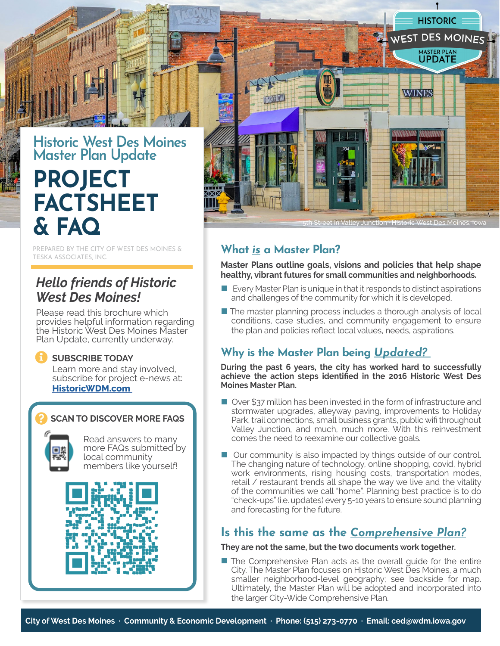

# **Historic West Des Moines Master Plan Update PROJECT FACTSHEET & FAQ**

PREPARED BY THE CITY OF WEST DES MOINES & TESKA ASSOCIATES, INC.

# *Hello friends of Historic West Des Moines!*

Please read this brochure which provides helpful information regarding the Historic West Des Moines Master Plan Update, currently underway.

### **SUBSCRIBE TODAY**

Learn more and stay involved, subscribe for project e-news at: **[HistoricWDM.com](http://historicwdm.com)**

### **SCAN TO DISCOVER MORE FAQS**



8

Read answers to many more FAQs submitted by local community members like yourself!





### **What** *is* **a Master Plan?**

**Master Plans outline goals, visions and policies that help shape healthy, vibrant futures for small communities and neighborhoods.** 

- $\blacksquare$  Every Master Plan is unique in that it responds to distinct aspirations and challenges of the community for which it is developed.
- The master planning process includes a thorough analysis of local conditions, case studies, and community engagement to ensure the plan and policies reflect local values, needs, aspirations.

# **Why is the Master Plan being** *Updated?*

**During the past 6 years, the city has worked hard to successfully achieve the action steps identified in the 2016 Historic West Des Moines Master Plan.** 

- Over \$37 million has been invested in the form of infrastructure and stormwater upgrades, alleyway paving, improvements to Holiday Park, trail connections, small business grants, public wifi throughout Valley Junction, and much, much more. With this reinvestment comes the need to reexamine our collective goals.
- Our community is also impacted by things outside of our control. The changing nature of technology, online shopping, covid, hybrid work environments, rising housing costs, transportation modes, retail / restaurant trends all shape the way we live and the vitality of the communities we call "home". Planning best practice is to do "check-ups" (i.e. updates) every 5-10 years to ensure sound planning and forecasting for the future.

# **Is this the same as the** *Comprehensive Plan?*

### **They are not the same, but the two documents work together.**

■ The Comprehensive Plan acts as the overall quide for the entire City. The Master Plan focuses on Historic West Des Moines, a much smaller neighborhood-level geography; see backside for map. Ultimately, the Master Plan will be adopted and incorporated into the larger City-Wide Comprehensive Plan.